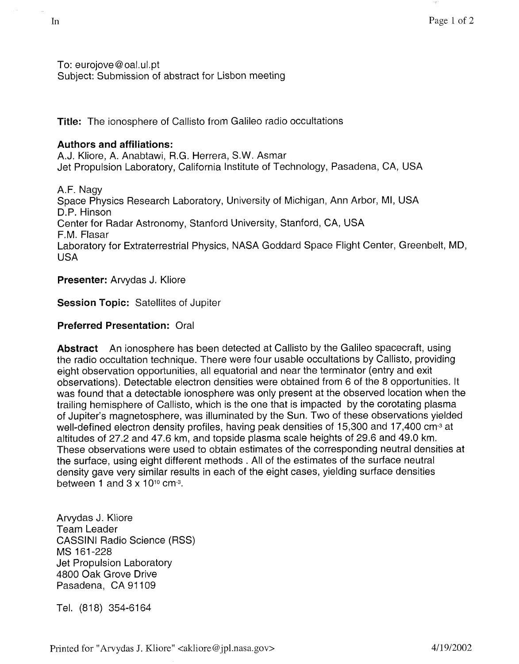To: eurojove @ oat. ul. pt Subject: Submission of abstract for Lisbon meeting

**Title:** The ionosphere of Callisto from Galileo radio occultations

## **Authors and affiliations:**

A.J. Kliore, A. Anabtawi, R.G. Herrera, S.W. Asmar Jet Propulsion Laboratory, California Institute of Technology, Pasadena, CA, USA

A.F. Nagy Space Physics Research Laboratory, University of Michigan, Ann Arbor, MI, USA D.P. Hinson Center for Radar Astronomy, Stanford University, Stanford, CA, USA F.M. Flasar Laboratory for Extraterrestrial Physics, NASA Goddard Space Flight Center, Greenbelt, MD, USA

## **Presenter:** Arvydas J. Kliore

## **Session Topic:** Satellites of Jupiter

## **Preferred Presentation:** Oral

**Abstract**  An ionosphere has been detected at Callisto by the Galileo spacecraft, using the radio occultation technique, There were four usable occultations by Callisto, providing eight observation opportunities, all equatorial and near the terminator (entry and exit observations). Detectable electron densities were obtained from 6 of the 8 opportunities. It was found that a detectable ionosphere was only present at the observed location when the trailing hemisphere of Callisto, which is the one that is impacted by the corotating plasma of Jupiter's magnetosphere, was illuminated by the Sun. Two of these observations yielded well-defined electron density profiles, having peak densities of 15,300 and 17,400 cm<sup>-3</sup> at altitudes of 27.2 and 47.6 km, and topside plasma scale heights of 29.6 and 49.0 km. These observations were used to obtain estimates of the corresponding neutral densities at the surface, using eight different methods . All of the estimates of the surface neutral density gave very similar results in each of the eight cases, yielding surface densities between 1 and  $3 \times 10^{10}$  cm<sup>-3</sup>.

Arvydas J. Kliore Team Leader CASSINI Radio Science (RSS) Jet Propulsion Laboratory 4800 Oak Grove Drive Pasadena, CA 91109 MS 161-228

Tel. (818) 354-6164